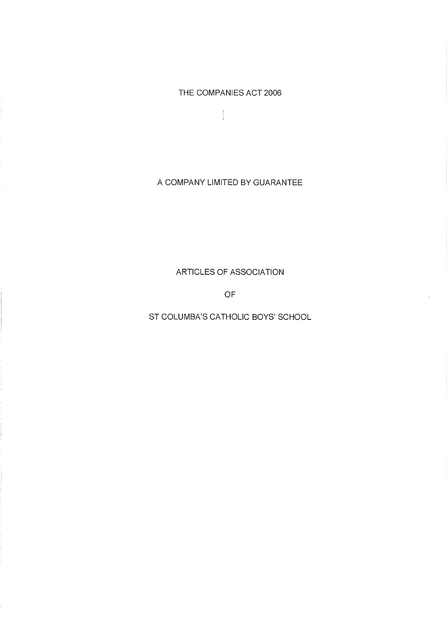THE COMPANIES ACT 2006

 $\overline{\phantom{a}}$ 

A COMPANY LIMITED BY GUARANTEE

ARTICLES OF ASSOCIATION

OF

ST COLUMBA'S CATHOLIC BOYS' SCHOOL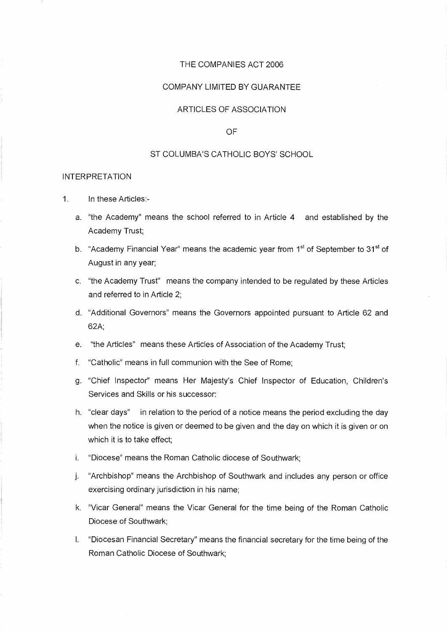## THE COMPANIES ACT 2006

# COMPANY LIMITED BY GUARANTEE

# ARTICLES OF ASSOCIATION

#### OF

#### ST COLUMBA'S CATHOLIC BOYS' SCHOOL

### INTERPRETATION

- In these Articles:-  $1<sub>1</sub>$ 
	- a. "the Academy" means the school referred to in Article 4 and established by the Academy Trust;
	- b. "Academy Financial Year" means the academic year from  $1<sup>st</sup>$  of September to 31 $<sup>st</sup>$  of</sup> August in any year;
	- c. "the Academy Trust" means the company intended to be regulated by these Articles and referred to in Article 2;
	- d. "Additional Governors" means the Governors appointed pursuant to Article 62 and 62A;
	- e. "the Articles" means these Articles of Association of the Academy Trust;
	- f. "Catholic" means in full communion with the See of Rome;
	- g. "Chief Inspector" means Her Majesty's Chief Inspector of Education, Children's Services and Skills or his successor:
	- h. "clear days" in relation to the period of a notice means the period excluding the day when the notice is given or deemed to be given and the day on which it is given or on which it is to take effect;
	- i. "Diocese" means the Roman Catholic diocese of Southwark;
	- j. "Archbishop" means the Archbishop of Southwark and includes any person or office exercising ordinary jurisdiction in his name;
	- k. "Vicar General" means the Vicar General for the time being of the Roman Catholic Diocese of Southwark;
	- I. "Diocesan Financial Secretary" means the financial secretary for the time being of the Roman Catholic Diocese of Southwark;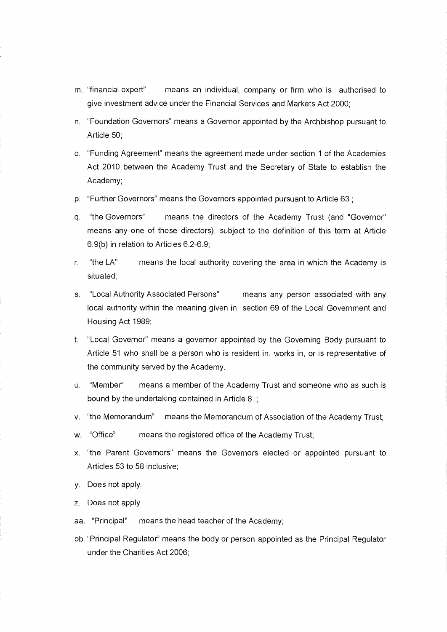- m. "financial expert" means an individual, company or firm who is authorised to give investment advice under the Financial Services and Markets Act 2000;
- n. "Foundation Governors" means a Govemor appointed by the Archbishop pursuant to Article 50;
- o. "Funding Agreement" means the agreement made under section 1 of the Academies Act 2010 between the Academy Trust and the Secretary of State to establish the Academy;
- P. "Further Governors" means the Governors appointed pursuant to Article 63 ;
- q. "the Governors" means the directors of the Academy Trust (and "Governor" means any one of those directors), subject to the definition of this term at Article 6.9(b) in relation to Articles 6.2-6.9;
- r. "the LA" means the local authority covering the area in which the Academy is situated;
- s. "Local Authority Associated Persons" means any person associated with any local authority within the meaning given in section 69 of the Local Govemment and Housing Act 1989;
- t. "Local Governor" means a governor appointed by the Governing Body pursuant to Article 51 who shall be a person who is resident in, works in, or is representative of the community served by the Academy.
- u. "Member" means a member of the Academy Trust and someone who as such is bound by the undertaking contained in Article 8 ;
- v. "the Memorandum" means the Memorandum of Association of the Academy Trust;
- w. "Office" means the registered office of the Academy Trust;
- x. "the Parent Governors" means the Governors elected or appointed pursuant to Articles 53 to 58 inclusive;
- y. Does not apply.
- z. Does not apply
- aa. "Principal" means the head teacher of the Academy;
- bb. "Principal Regulator" means the body or person appointed as the Principal Regulator under the Charities Act 2006;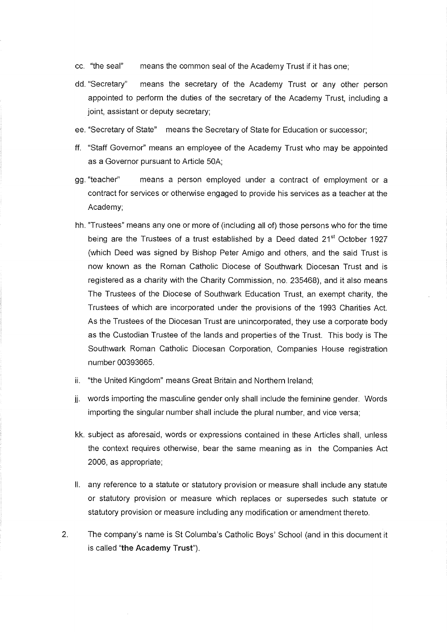- cc. "the seal" means the common seal of the Academy Trust if it has one;
- dd. "Secretary" means the secretary of the Academy Trust or any other person appointed to perform the duties of the secretary of the Academy Trust, including a joint, assistant or deputy secretary;
- ee. "Secretary of State" means the Secretary of State for Education or successor;
- ff. "Staff Governor" means an employee of the Academy Trust who may be appointed as a Governor pursuant to Article 50A;
- gg. "teacher" means a person employed under a contract of employment or a contract for services or otherwise engaged to provide his services as a teacher at the Academy;
- hh. "Trustees" means any one or more of (including all of) those persons who for the time being are the Trustees of a trust established by a Deed dated  $21<sup>st</sup>$  October 1927 (which Deed was signed by Bishop Peter Amigo and others, and the said Trust is now known as the Roman Catholic Diocese of Southwark Diocesan Trust and is registered as a charity with the Charity Commission, no. 235468), and it also means The Trustees of the Diocese of Southwark Education Trust, an exempt charity, the Trustees of which are incorporated under the provisions of the 1993 Charities Act. As the Trustees of the Diocesan Trust are unincorporated, they use a corporate body as the Custodian Trustee of the lands and properties of the Trust. This body is The Southwark Roman Catholic Diocesan Corporation, Companies House registration number 00393665.
- ii. "the United Kingdom" means Great Britain and Northern Ireland;
- jj. words importing the masculine gender only shall include the feminine gender. Words importing the singular number shall include the plural number, and vice versa;
- kk. subject as aforesaid, words or expressions contained in these Articles shall, unless the context requires otherwise, bear the same meaning as in the Companies Act 2006, as appropriate;
- II. any reference to a statute or statutory provision or measure shall include any statute or statutory provision or measure which replaces or supersedes such statute or statutory provision or measure including any modification or amendment thereto.
- 2. The company's name is St Columba's Catholic Boys' School (and in this document it is called "the Academy Trust").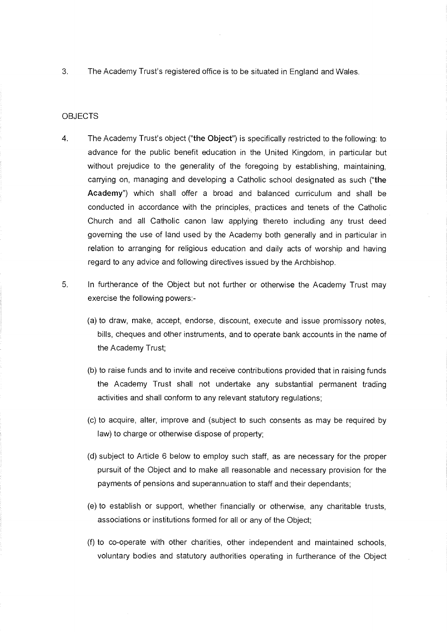3. The Academy Trust's registered office is to be situated in England and Wales.

#### OBJECTS

- 4. The Academy Trust's object **("the Object")** is specifically restricted to the following: to advance for the public benefit education in the United Kingdom, in particular but without prejudice to the generality of the foregoing by establishing, maintaining, carrying on, managing and developing a Catholic school designated as such **("the Academy")** which shall offer a broad and balanced curriculum and shall be conducted in accordance with the principles, practices and tenets of the Catholic Church and all Catholic canon law applying thereto including any trust deed governing the use of land used by the Academy both generally and in particular in relation to arranging for religious education and daily acts of worship and having regard to any advice and following directives issued by the Archbishop.
- 5. In furtherance of the Object but not further or otherwise the Academy Trust may exercise the following powers:-
	- (a) to draw, make, accept, endorse, discount, execute and issue promissory notes, bills, cheques and other instruments, and to operate bank accounts in the name of the Academy Trust;
	- (b) to raise funds and to invite and receive contributions provided that in raising funds the Academy Trust shall not undertake any substantial permanent trading activities and shall conform to any relevant statutory regulations;
	- (c) to acquire, alter, improve and (subject to such consents as may be required by law) to charge or otherwise dispose of property;
	- (d) subject to Article 6 below to employ such staff, as are necessary for the proper pursuit of the Object and to make all reasonable and necessary provision for the payments of pensions and superannuation to staff and their dependants;
	- (e) to establish or support, whether financially or otherwise, any charitable trusts, associations or institutions formed for all or any of the Object;
	- (f) to co-operate with other charities, other independent and maintained schools, voluntary bodies and statutory authorities operating in furtherance of the Object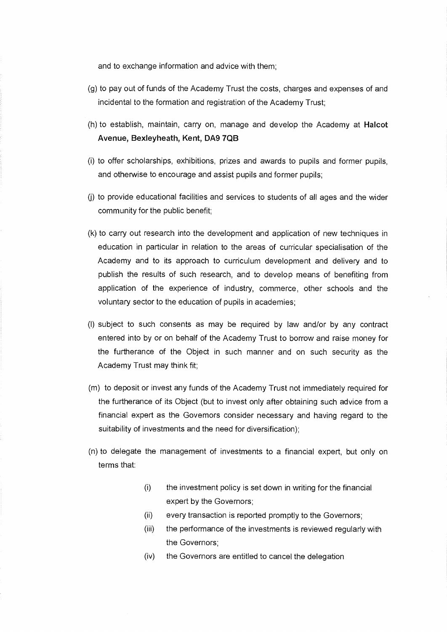and to exchange information and advice with them;

- (g) to pay out of funds of the Academy Trust the costs, charges and expenses of and incidental to the formation and registration of the Academy Trust;
- (h) to establish, maintain, carry on, manage and develop the Academy at **Haloot**  Avenue, Bexleyheath, Kent, DA9 7QB
- (i) to offer scholarships, exhibitions, prizes and awards to pupils and former pupils, and otherwise to encourage and assist pupils and former pupils;
- (j) to provide educational facilities and services to students of all ages and the wider community for the public benefit;
- (k) to carry out research into the development and application of new techniques in education in particular in relation to the areas of curricular specialisation of the Academy and to its approach to curriculum development and delivery and to publish the results of such research, and to develop means of benefiting from application of the experience of industry, commerce, other schools and the voluntary sector to the education of pupils in academies;
- (I) subject to such consents as may be required by law and/or by any contract entered into by or on behalf of the Academy Trust to borrow and raise money for the furtherance of the Object in such manner and on such security as the Academy Trust may think fit;
- (m) to deposit or invest any funds of the Academy Trust not immediately required for the furtherance of its Object (but to invest only after obtaining such advice from a financial expert as the Govemors consider necessary and having regard to the suitability of investments and the need for diversification);
- (n) to delegate the management of investments to a financial expert, but only on terms that:
	- (i) the investment policy is set down in writing for the financial expert by the Governors;
	- (ii) every transaction is reported promptly to the Governors;
	- (iii) the performance of the investments is reviewed regularly with the Governors;
	- (iv) the Governors are entitled to cancel the delegation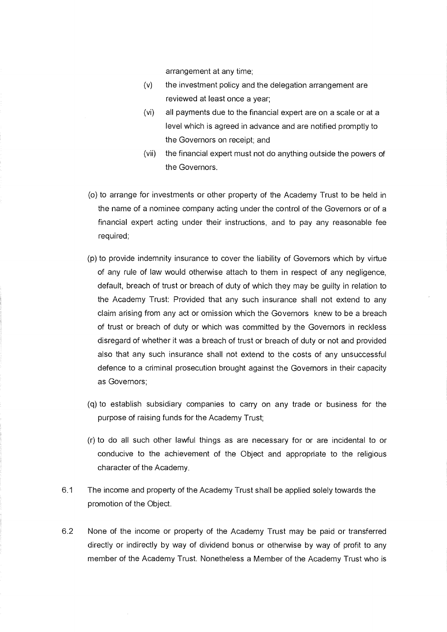arrangement at any time;

- (v) the investment policy and the delegation arrangement are reviewed at least once a year;
- (vi) all payments due to the financial expert are on a scale or at a level which is agreed in advance and are notified promptly to the Governors on receipt; and
- (vii) the financial expert must not do anything outside the powers of the Governors.
- (o) to arrange for investments or other property of the Academy Trust to be held in the name of a nominee company acting under the control of the Governors or of a financial expert acting under their instructions, and to pay any reasonable fee required;
- (p) to provide indemnity insurance to cover the liability of Governors which by virtue of any rule of law would otherwise attach to them in respect of any negligence, default, breach of trust or breach of duty of which they may be guilty in relation to the Academy Trust: Provided that any such insurance shall not extend to any claim arising from any act or omission which the Govemors knew to be a breach of trust or breach of duty or which was committed by the Governors in reckless disregard of whether it was a breach of trust or breach of duty or not and provided also that any such insurance shall not extend to the costs of any unsuccessful defence to a criminal prosecution brought against the Governors in their capacity as Govemors;
- (q) to establish subsidiary companies to carry on any trade or business for the purpose of raising funds for the Academy Trust;
- (r) to do all such other lawful things as are necessary for or are incidental to or conducive to the achievement of the Object and appropriate to the religious character of the Academy.
- 6.1 The income and property of the Academy Trust shall be applied solely towards the promotion of the Object.
- 6.2 None of the income or property of the Academy Trust may be paid or transferred directly or indirectly by way of dividend bonus or otherwise by way of profit to any member of the Academy Trust. Nonetheless a Member of the Academy Trust who is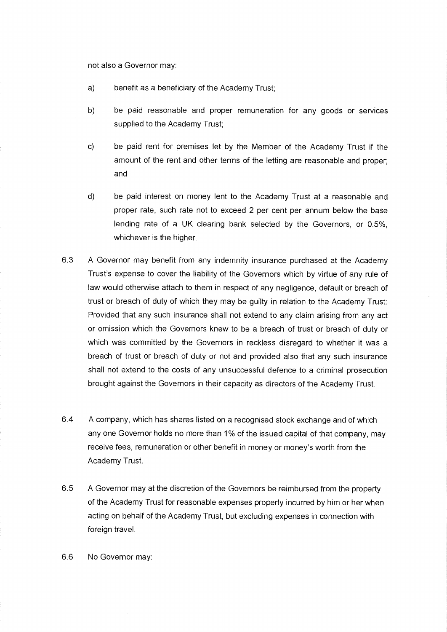not also a Governor may:

- a) benefit as a beneficiary of the Academy Trust;
- b) be paid reasonable and proper remuneration for any goods or services supplied to the Academy Trust;
- c) be paid rent for premises let by the Member of the Academy Trust if the amount of the rent and other terms of the letting are reasonable and proper; and
- d) be paid interest on money lent to the Academy Trust at a reasonable and proper rate, such rate not to exceed 2 per cent per annum below the base lending rate of a UK clearing bank selected by the Governors, or 0.5%, whichever is the higher.
- 6.3 A Governor may benefit from any indemnity insurance purchased at the Academy Trust's expense to cover the liability of the Governors which by virtue of any rule of law would otherwise attach to them in respect of any negligence, default or breach of trust or breach of duty of which they may be guilty in relation to the Academy Trust: Provided that any such insurance shall not extend to any claim arising from any act or omission which the Govemors knew to be a breach of trust or breach of duty or which was committed by the Governors in reckless disregard to whether it was a breach of trust or breach of duty or not and provided also that any such insurance shall not extend to the costs of any unsuccessful defence to a criminal prosecution brought against the Govemors in their capacity as directors of the Academy Trust.
- 6.4 A company, which has shares listed on a recognised stock exchange and of which any one Governor holds no more than 1% of the issued capital of that company, may receive fees, remuneration or other benefit in money or money's worth from the Academy Trust.
- 6.5 A Governor may at the discretion of the Govemors be reimbursed from the property of the Academy Trust for reasonable expenses properly incurred by him or her when acting on behalf of the Academy Trust, but excluding expenses in connection with foreign travel.
- 6.6 No Governor may: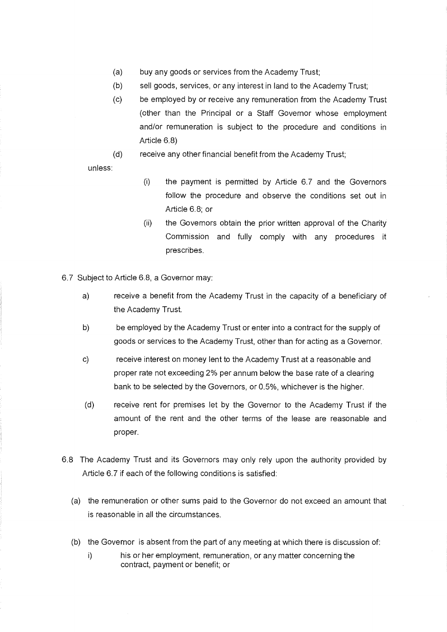- (a) buy any goods or services from the Academy Trust;
- (b) sell goods, services, or any interest in land to the Academy Trust;
- (c) be employed by or receive any remuneration from the Academy Trust (other than the Principal or a Staff Governor whose employment and/or remuneration is subject to the procedure and conditions in Article 6.8)
- (d) receive any other financial benefit from the Academy Trust;

unless:

- (i) the payment is permitted by Article 6.7 and the Governors follow the procedure and observe the conditions set out in Article 6.8; or
- (ii) the Governors obtain the prior written approval of the Charity Commission and fully comply with any procedures it prescribes.
- 6.7 Subject to Article 6.8, a Governor may:
	- a) receive a benefit from the Academy Trust in the capacity of a beneficiary of the Academy Trust.
	- b) be employed by the Academy Trust or enter into a contract for the supply of goods or services to the Academy Trust, other than for acting as a Governor.
	- c) receive interest on money lent to the Academy Trust at a reasonable and proper rate not exceeding 2% per annum below the base rate of a clearing bank to be selected by the Governors, or 0.5%, whichever is the higher.
	- (d) receive rent for premises let by the Governor to the Academy Trust if the amount of the rent and the other terms of the lease are reasonable and proper.
- 6.8 The Academy Trust and its Governors may only rely upon the authority provided by Article 6.7 if each of the following conditions is satisfied:
	- (a) the remuneration or other sums paid to the Governor do not exceed an amount that is reasonable in all the circumstances.
	- (b) the Governor is absent from the part of any meeting at which there is discussion of:
		- i) his or her employment, remuneration, or any matter concerning the contract, payment or benefit; or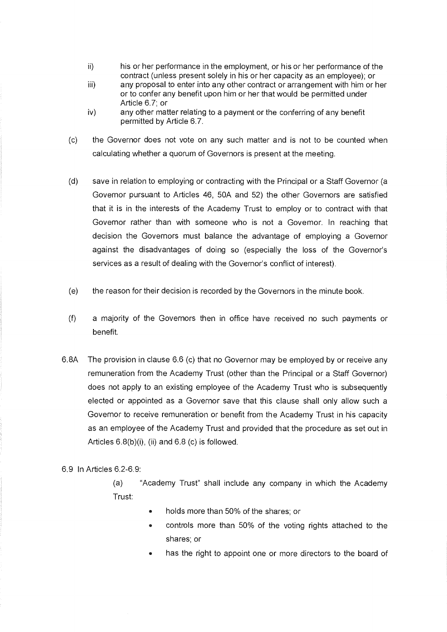- ii) his or her performance in the employment, or his or her performance of the contract (unless present solely in his or her capacity as an employee); or
- iii) any proposal to enter into any other contract or arrangement with him or her or to confer any benefit upon him or her that would be permitted under Article 6.7; or
- iv) any other matter relating to a payment or the conferring of any benefit permitted by Article 6.7.
- (c) the Governor does not vote on any such matter and is not to be counted when calculating whether a quorum of Governors is present at the meeting.
- (d) save in relation to employing or contracting with the Principal or a Staff Governor (a Govemor pursuant to Articles 46, 50A and 52) the other Governors are satisfied that it is in the interests of the Academy Trust to employ or to contract with that Govemor rather than with someone who is not a Govemor. In reaching that decision the Govemors must balance the advantage of employing a Governor against the disadvantages of doing so (especially the loss of the Governor's services as a result of dealing with the Governor's conflict of interest).
- (e) the reason for their decision is recorded by the Governors in the minute book.
- $(f)$  a majority of the Governors then in office have received no such payments or benefit.
- 6.8A The provision in clause 6.6 (c) that no Governor may be employed by or receive any remuneration from the Academy Trust (other than the Principal or a Staff Governor) does not apply to an existing employee of the Academy Trust who is subsequently elected or appointed as a Governor save that this clause shall only allow such a Govemor to receive remuneration or benefit from the Academy Trust in his capacity as an employee of the Academy Trust and provided that the procedure as set out in Articles 6.8(b)(i), (ii) and 6.8 (c) is followed.

6.9 In Articles 6.2-6.9:

(a) "Academy Trust" shall include any company in which the Academy Trust:

- holds more than 50% of the shares; or
- controls more than 50% of the voting rights attached to the shares; or
- has the right to appoint one or more directors to the board of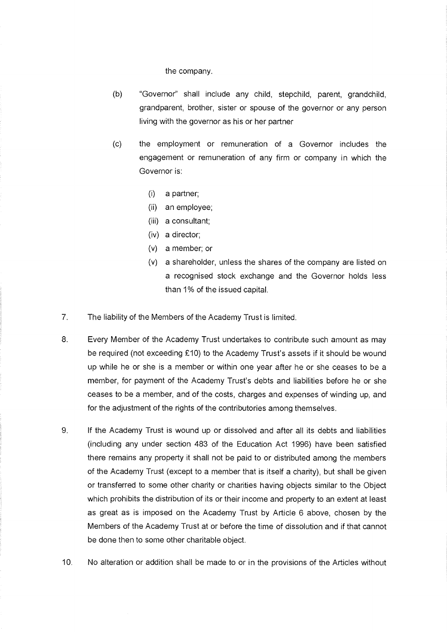the company.

- (b) "Governor" shall include any child, stepchild, parent, grandchild, grandparent, brother, sister or spouse of the governor or any person living with the governor as his or her partner
- (c) the employment or remuneration of a Governor includes the engagement or remuneration of any firm or company in which the Govemor is:
	- (i) a partner;
	- (ii) an employee;
	- (iii) a consultant;
	- (iv) a director;
	- (v) a member; or
	- (v) a shareholder, unless the shares of the company are listed on a recognised stock exchange and the Governor holds less than 1% of the issued capital.
- 7. The liability of the Members of the Academy Trust is limited.
- 8. Every Member of the Academy Trust undertakes to contribute such amount as may be required (not exceeding £10) to the Academy Trust's assets if it should be wound up while he or she is a member or within one year after he or she ceases to be a member, for payment of the Academy Trust's debts and liabilities before he or she ceases to be a member, and of the costs, charges and expenses of winding up, and for the adjustment of the rights of the contributories among themselves.
- 9. If the Academy Trust is wound up or dissolved and after all its debts and liabilities (including any under section 483 of the Education Act 1996) have been satisfied there remains any property it shall not be paid to or distributed among the members of the Academy Trust (except to a member that is itself a charity), but shall be given or transferred to some other charity or charities having objects similar to the Object which prohibits the distribution of its or their income and property to an extent at least as great as is imposed on the Academy Trust by Article 6 above, chosen by the Members of the Academy Trust at or before the time of dissolution and if that cannot be done then to some other charitable object.
- 10. No alteration or addition shall be made to or in the provisions of the Articles without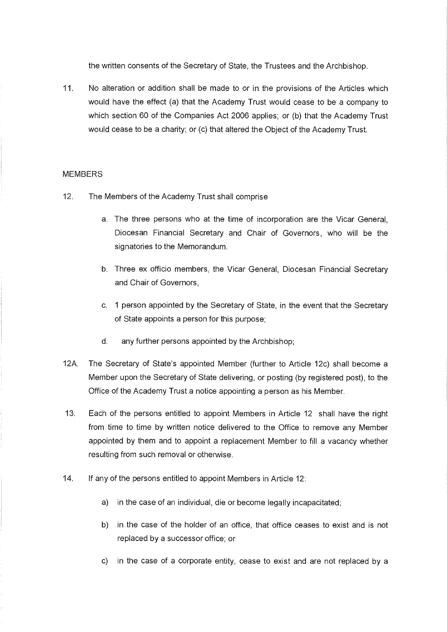the written consents of the Secretary of State, the Trustees and the Archbishop.

11. No alteration or addition shall be made to or in the provisions of the Articles which would have the effect (a) that the Academy Trust would cease to be a company to which section 60 of the Companies Act 2006 applies; or (b) that the Academy Trust would cease to be a charity; or (c) that altered the Object of the Academy Trust.

#### MEMBERS

- 12. The Members of the Academy Trust shall comprise
	- a. The three persons who at the time of incorporation are the Vicar General, Diocesan Financial Secretary and Chair of Governors, who will be the signatories to the Memorandum.
	- b. Three ex officio members, the Vicar General, Diocesan Financial Secretary and Chair of Governors,
	- c. 1 person appointed by the Secretary of State, in the event that the Secretary of State appoints a person for this purpose;
	- d. any further persons appointed by the Archbishop;
- 12A. The Secretary of State's appointed Member (further to Article 12c) shall become a Member upon the Secretary of State delivering, or posting (by registered post), to the Office of the Academy Trust a notice appointing a person as his Member.
- 13. Each of the persons entitled to appoint Members in Article 12 shall have the right from time to time by written notice delivered to the Office to remove any Member appointed by them and to appoint a replacement Member to fill a vacancy whether resulting from such removal or otherwise.
- 14. If any of the persons entitled to appoint Members in Article 12:
	- a) in the case of an individual, die or become legally incapacitated;
	- b) in the case of the holder of an office, that office ceases to exist and is not replaced by a successor office; or
	- c) in the case of a corporate entity, cease to exist and are not replaced by a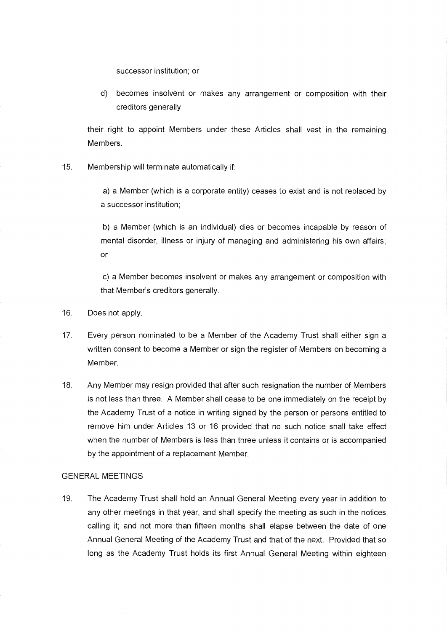successor institution; or

d) becomes insolvent or makes any arrangement or composition with their creditors generally

their right to appoint Members under these Articles shall vest in the remaining Members.

15. Membership will terminate automatically if:

a) a Member (which is a corporate entity) ceases to exist and is not replaced by a successor institution;

b) a Member (which is an individual) dies or becomes incapable by reason of mental disorder, illness or injury of managing and administering his own affairs; Or

c) a Member becomes insolvent or makes any arrangement or composition with that Member's creditors generally.

- 16. Does not apply.
- 17. Every person nominated to be a Member of the Academy Trust shall either sign a written consent to become a Member or sign the register of Members on becoming a Member.
- 18. Any Member may resign provided that after such resignation the number of Members is not less than three. A Member shall cease to be one immediately on the receipt by the Academy Trust of a notice in writing signed by the person or persons entitled to remove him under Articles 13 or 16 provided that no such notice shall take effect when the number of Members is less than three unless it contains or is accompanied by the appointment of a replacement Member.

## GENERAL MEETINGS

19. The Academy Trust shall hold an Annual General Meeting every year in addition to any other meetings in that year, and shall specify the meeting as such in the notices calling it; and not more than fifteen months shall elapse between the date of one Annual General Meeting of the Academy Trust and that of the next. Provided that so long as the Academy Trust holds its first Annual General Meeting within eighteen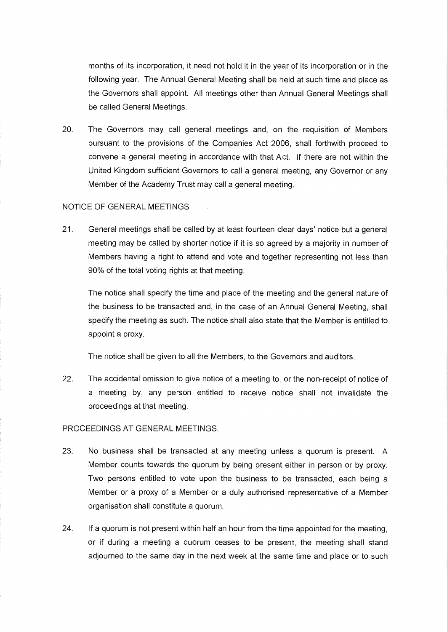months of its incorporation, it need not hold it in the year of its incorporation or in the following year. The Annual General Meeting shall be held at such time and place as the Governors shall appoint. All meetings other than Annual General Meetings shall be called General Meetings.

20. The Governors may call general meetings and, on the requisition of Members pursuant to the provisions of the Companies Act 2006, shall forthwith proceed to convene a general meeting in accordance with that Act. If there are not within the United Kingdom sufficient Governors to call a general meeting, any Governor or any Member of the Academy Trust may call a general meeting.

### NOTICE OF GENERAL MEETINGS

21. General meetings shall be called by at least fourteen clear days' notice but a general meeting may be called by shorter notice if it is so agreed by a majority in number of Members having a right to attend and vote and together representing not less than 90% of the total voting rights at that meeting.

The notice shall specify the time and place of the meeting and the general nature of the business to be transacted and, in the case of an Annual General Meeting, shall specify the meeting as such. The notice shall also state that the Member is entitled to appoint a proxy.

The notice shall be given to all the Members, to the Govemors and auditors.

22. The accidental omission to give notice of a meeting to, or the non-receipt of notice of a meeting by, any person entitled to receive notice shall not invalidate the proceedings at that meeting.

### PROCEEDINGS AT GENERAL MEETINGS.

- 23. No business shall be transacted at any meeting unless a quorum is present. A Member counts towards the quorum by being present either in person or by proxy. Two persons entitled to vote upon the business to be transacted, each being a Member or a proxy of a Member or a duly authorised representative of a Member organisation shall constitute a quorum.
- 24. If a quorum is not present within half an hour from the time appointed for the meeting, or if during a meeting a quorum ceases to be present, the meeting shall stand adjourned to the same day in the next week at the same time and place or to such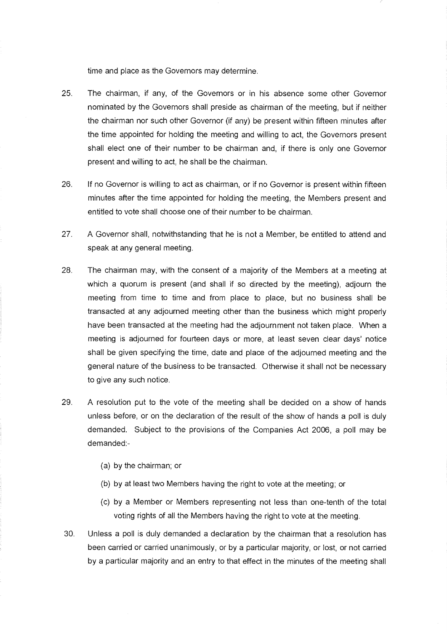time and place as the Governors may determine.

- 25. The chairman, if any, of the Governors or in his absence some other Governor nominated by the Governors shall preside as chairman of the meeting, but if neither the chairman nor such other Governor (if any) be present within fifteen minutes after the time appointed for holding the meeting and willing to act, the Governors present shall elect one of their number to be chairman and, if there is only one Governor present and willing to act, he shall be the chairman.
- 26. If no Governor is willing to act as chairman, or if no Governor is present within fifteen minutes after the time appointed for holding the meeting, the Members present and entitled to vote shall choose one of their number to be chairman.
- 27. A Governor shall, notwithstanding that he is not a Member, be entitled to attend and speak at any general meeting.
- 28. The chairman may, with the consent of a majority of the Members at a meeting at which a quorum is present (and shall if so directed by the meeting), adjourn the meeting from time to time and from place to place, but no business shall be transacted at any adjourned meeting other than the business which might properly have been transacted at the meeting had the adjournment not taken place. When a meeting is adjourned for fourteen days or more, at least seven clear days' notice shall be given specifying the time, date and place of the adjourned meeting and the general nature of the business to be transacted. Otherwise it shall not be necessary to give any such notice.
- 29. A resolution put to the vote of the meeting shall be decided on a show of hands unless before, or on the declaration of the result of the show of hands a poll is duly demanded. Subject to the provisions of the Companies Act 2006, a poll may be demanded:-
	- (a) by the chairman; or
	- (b) by at least tvvo Members having the right to vote at the meeting; or
	- (c) by a Member or Members representing not less than one-tenth of the total voting rights of all the Members having the right to vote at the meeting.
- 30. Unless a poll is duly demanded a declaration by the chairman that a resolution has been carried or carried unanimously, or by a particular majority, or lost, or not carried by a particular majority and an entry to that effect in the minutes of the meeting shall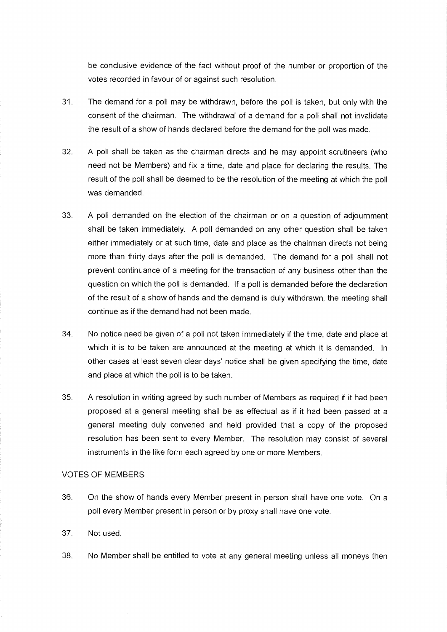be conclusive evidence of the fact without proof of the number or proportion of the votes recorded in favour of or against such resolution.

- 31. The demand for a poll may be withdrawn, before the poll is taken, but only with the consent of the chairman. The withdrawal of a demand for a poll shall not invalidate the result of a show of hands declared before the demand for the poll was made.
- 32. A poll shall be taken as the chairman directs and he may appoint scrutineers (who need not be Members) and fix a time, date and place for declaring the results. The result of the poll shall be deemed to be the resolution of the meeting at which the poll was demanded.
- 33. A poll demanded on the election of the chairman or on a question of adjournment shall be taken immediately. A poll demanded on any other question shall be taken either immediately or at such time, date and place as the chairman directs not being more than thirty days after the poll is demanded. The demand for a poll shall not prevent continuance of a meeting for the transaction of any business other than the question on which the poll is demanded. If a poll is demanded before the declaration of the result of a show of hands and the demand is duly withdrawn, the meeting shall continue as if the demand had not been made.
- 34. No notice need be given of a poll not taken immediately if the time, date and place at which it is to be taken are announced at the meeting at which it is demanded. In other cases at least seven clear days' notice shall be given specifying the time, date and place at which the poll is to be taken.
- 35. A resolution in writing agreed by such number of Members as required if it had been proposed at a general meeting shall be as effectual as if it had been passed at a general meeting duly convened and held provided that a copy of the proposed resolution has been sent to every Member. The resolution may consist of several instruments in the like form each agreed by one or more Members.

# VOTES OF MEMBERS

- 36. On the show of hands every Member present in person shall have one vote. On a poll every Member present in person or by proxy shall have one vote.
- 37. Not used.
- 38. No Member shall be entitled to vote at any general meeting unless all moneys then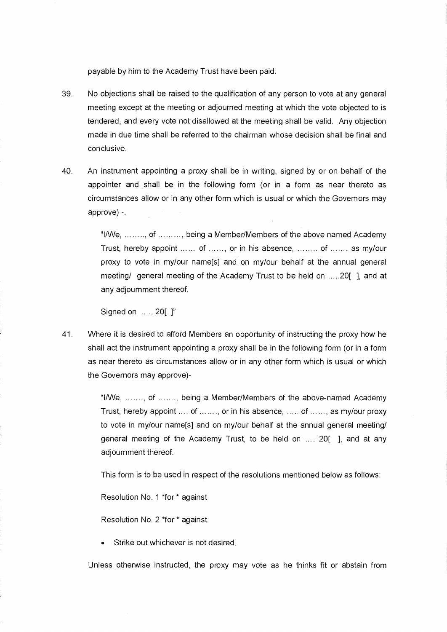payable by him to the Academy Trust have been paid.

- 39. No objections shall be raised to the qualification of any person to vote at any general meeting except at the meeting or adjoumed meeting at which the vote objected to is tendered, and every vote not disallowed at the meeting shall be valid. Any objection made in due time shall be referred to the chairman whose decision shall be final and conclusive.
- 40. An instrument appointing a proxy shall be in writing, signed by or on behalf of the appointer and shall be in the following form (or in a form as near thereto as circumstances allow or in any other form which is usual or which the Govemors nnay approve) -.

"I/VVe, ........, of ........., being a Member/Members of the above named Academy Trust, hereby appoint ...... of ......, or in his absence, ........ of ....... as my/our proxy to vote in my/our name[s] and on my/our behalf at the annual general meeting/ general meeting of the Academy Trust to be held on .....20[ ], and at any adjoumment thereof.

Signed on ..... 20[ ]"

41. Where it is desired to afford Members an opportunity of instructing the proxy how he shall act the instrument appointing a proxy shall be in the following form (or in a form as near thereto as circumstances allow or in any other form which is usual or which the Governors may approve)-

> "I/We, ......., of ......., being a Member/Members of the above-named Academy Trust, hereby appoint  $\dots$  of  $\dots \dots$ , or in his absence,  $\dots \dots$  of  $\dots \dots$ , as my/our proxy to vote in my/our name[s] and on my/our behalf at the annual general meeting/ general meeting of the Academy Trust, to be held on .... 20[ ], and at any adjournment thereof.

This form is to be used in respect of the resolutions mentioned below as follows:

Resolution No. 1 \*for\* against

Resolution No. 2 \*for \* against.

Strike out whichever is not desired.

Unless otherwise instructed, the proxy may vote as he thinks fit or abstain from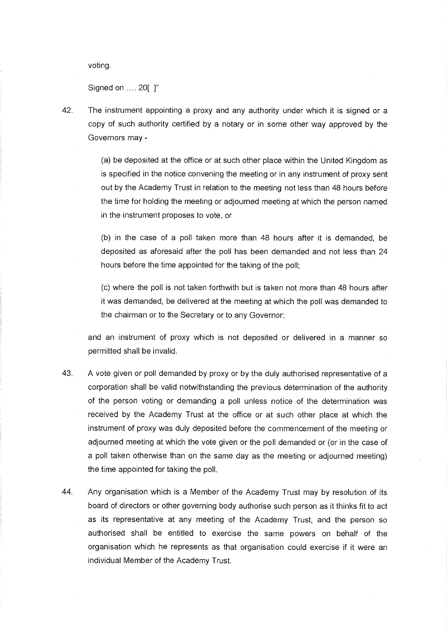voting.

Signed on .... 20[ I"

42. The instrument appointing a proxy and any authority under which it is signed or a copy of such authority certified by a notary or in some other way approved by the Govemors may -

> (a) be deposited at the office or at such other place within the United Kingdom as is specified in the notice convening the meeting or in any instrument of proxy sent out by the Academy Trust in relation to the meeting not less than 48 hours before the time for holding the meeting or adjoumed meeting at which the person named in the instrument proposes to vote, or

> (b) in the case of a poll taken more than 48 hours after it is demanded, be deposited as aforesaid after the poll has been demanded and not less than 24 hours before the time appointed for the taking of the poll;

> (c) where the poll is not taken forthwith but is taken not more than 48 hours after it was demanded, be delivered at the meeting at which the poll was demanded to the chairman or to the Secretary or to any Governor;

and an instrument of proxy which is not deposited or delivered in a manner so permitted shall be invalid.

- 43. A vote given or poll demanded by proxy or by the duly authorised representative of a corporation shall be valid notwithstanding the previous determination of the authority of the person voting or demanding a poll unless notice of the determination was received by the Academy Trust at the office or at such other place at which the instrument of proxy was duly deposited before the commencement of the meeting or adjourned meeting at which the vote given or the poll demanded or (or in the case of a poll taken otherwise than on the same day as the meeting or adjourned meeting) the time appointed for taking the poll.
- 44. Any organisation which is a Member of the Academy Trust may by resolution of its board of directors or other governing body authorise such person as it thinks fit to act as its representative at any meeting of the Academy Trust, and the person so authorised shall be entitled to exercise the same powers on behalf of the organisation which he represents as that organisation could exercise if it were an individual Member of the Academy Trust.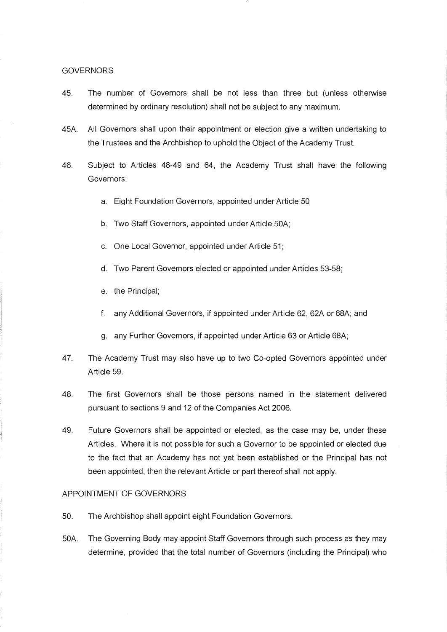# **GOVERNORS**

- 45. The number of Governors shall be not less than three but (unless otherwise determined by ordinary resolution) shall not be subject to any maximum.
- 45A. All Governors shall upon their appointment or election give a written undertaking to the Trustees and the Archbishop to uphold the Object of the Academy Trust.
- 46. Subject to Articles 48-49 and 64, the Academy Trust shall have the following Govemors:
	- a. Eight Foundation Governors, appointed under Article 50
	- b. Two Staff Governors, appointed under Article 50A;
	- c. One Local Governor, appointed under Article 51;
	- d. Two Parent Govemors elected or appointed under Articles 53-58;
	- e. the Principal;
	- f. any Additional Governors, if appointed under Article 62, 62A or 68A; and
	- g. any Further Govemors, if appointed under Article 63 or Article 68A;
- 47. The Academy Trust may also have up to two Co-opted Governors appointed under Article 59.
- 48. The first Governors shall be those persons named in the statement delivered pursuant to sections 9 and 12 of the Companies Act 2006.
- 49. Future Governors shall be appointed or elected, as the case may be, under these Articles. Where it is not possible for such a Governor to be appointed or elected due to the fact that an Academy has not yet been established or the Principal has not been appointed, then the relevant Article or part thereof shall not apply.

### APPOINTMENT OF GOVERNORS

- 50. The Archbishop shall appoint eight Foundation Governors.
- 50A. The Governing Body may appoint Staff Govemors through such process as they may determine, provided that the total number of Governors (including the Principal) who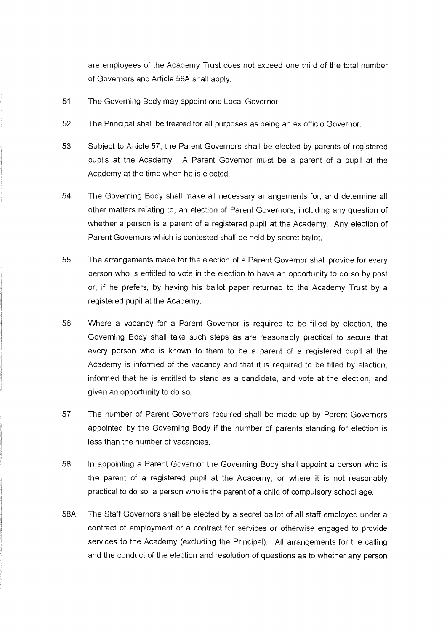are employees of the Academy Trust does not exceed one third of the total number of Governors and Article 58A shall apply.

- 51. The Governing Body may appoint one Local Governor.
- 52. The Principal shall be treated for all purposes as being an ex officio Governor.
- 53. Subject to Article 57, the Parent Governors shall be elected by parents of registered pupils at the Academy. A Parent Governor must be a parent of a pupil at the Academy at the time when he is elected.
- 54. The Governing Body shall make all necessary arrangements for, and determine all other matters relating to, an election of Parent Governors, including any question of whether a person is a parent of a registered pupil at the Academy. Any election of Parent Governors which is contested shall be held by secret ballot.
- 55. The arrangements made for the election of a Parent Governor shall provide for every person who is entitled to vote in the election to have an opportunity to do so by post or, if he prefers, by having his ballot paper returned to the Academy Trust by a registered pupil at the Academy.
- 56. Where a vacancy for a Parent Governor is required to be filled by election, the Goveming Body shall take such steps as are reasonably practical to secure that every person who is known to them to be a parent of a registered pupil at the Academy is informed of the vacancy and that it is required to be filled by election, informed that he is entitled to stand as a candidate, and vote at the election, and given an opportunity to do so.
- 57. The number of Parent Governors required shall be made up by Parent Governors appointed by the Governing Body if the number of parents standing for election is less than the number of vacancies.
- 58. In appointing a Parent Governor the Governing Body shall appoint a person who is the parent of a registered pupil at the Academy; or where it is not reasonably practical to do so, a person who is the parent of a child of compulsory school age.
- 58A. The Staff Governors shall be elected by a secret ballot of all staff employed under a contract of employment or a contract for services or otherwise engaged to provide services to the Academy (excluding the Principal). All arrangements for the calling and the conduct of the election and resolution of questions as to whether any person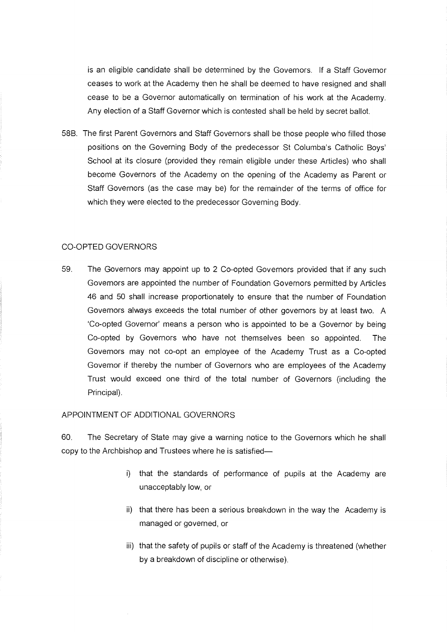is an eligible candidate shall be determined by the Governors. If a Staff Governor ceases to work at the Academy then he shall be deemed to have resigned and shall cease to be a Governor automatically on termination of his work at the Academy. Any election of a Staff Governor which is contested shall be held by secret ballot.

58B. The first Parent Governors and Staff Governors shall be those people who filled those positions on the Governing Body of the predecessor St Columba's Catholic Boys' School at its closure (provided they remain eligible under these Articles) who shall become Governors of the Academy on the opening of the Academy as Parent or Staff Governors (as the case may be) for the remainder of the terms of office for which they were elected to the predecessor Governing Body.

#### CO-OPTED GOVERNORS

59. The Governors may appoint up to 2 Co-opted Governors provided that if any such Governors are appointed the number of Foundation Governors permitted by Articles 46 and 50 shall increase proportionately to ensure that the number of Foundation Governors always exceeds the total number of other governors by at least two. A 'Co-opted Governor' means a person who is appointed to be a Governor by being Co-opted by Governors who have not themselves been so appointed. The Governors may not co-opt an employee of the Academy Trust as a Co-opted Governor if thereby the number of Governors who are employees of the Academy Trust would exceed one third of the total number of Governors (including the Principal).

### APPOINTMENT OF ADDITIONAL GOVERNORS

60. The Secretary of State may give a warning notice to the Governors which he shall copy to the Archbishop and Trustees where he is satisfied—

- i) that the standards of performance of pupils at the Academy are unacceptably low, or
- ii) that there has been a serious breakdown in the way the Academy is managed or governed, or
- iii) that the safety of pupils or staff of the Academy is threatened (whether by a breakdown of discipline or otherwise).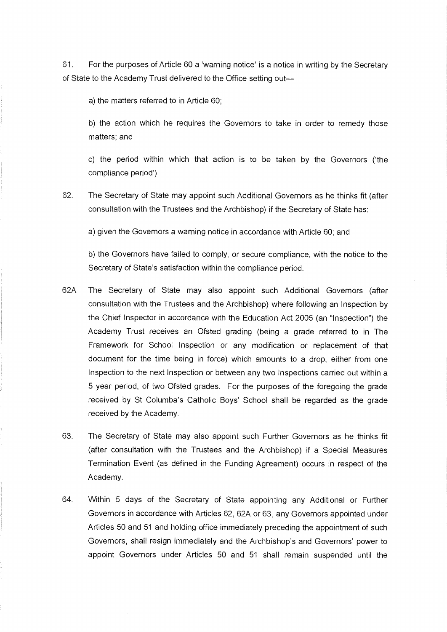61. For the purposes of Article 60 a 'warning notice' is a notice in writing by the Secretary of State to the Academy Trust delivered to the Office setting out—

a) the matters referred to in Article 60;

b) the action which he requires the Governors to take in order to remedy those matters; and

c) the period within which that action is to be taken by the Governors ('the compliance period').

62. The Secretary of State may appoint such Additional Governors as he thinks fit (after consultation with the Trustees and the Archbishop) if the Secretary of State has:

a) given the Governors a waming notice in accordance with Article 60; and

b) the Govemors have failed to comply, or secure compliance, with the notice to the Secretary of State's satisfaction within the compliance period.

- 62A The Secretary of State may also appoint such Additional Governors (after consultation with the Trustees and the Archbishop) where following an Inspection by the Chief Inspector in accordance with the Education Act 2005 (an "Inspection") the Academy Trust receives an Ofsted grading (being a grade referred to in The Framework for School Inspection or any modification or replacement of that document for the time being in force) which amounts to a drop, either from one Inspection to the next Inspection or between any two Inspections carried out within a 5 year period, of two Ofsted grades. For the purposes of the foregoing the grade received by St Columba's Catholic Boys' School shall be regarded as the grade received by the Academy.
- 63. The Secretary of State may also appoint such Further Governors as he thinks fit (after consultation with the Trustees and the Archbishop) if a Special Measures Termination Event (as defined in the Funding Agreement) occurs in respect of the Academy.
- 64. Within 5 days of the Secretary of State appointing any Additional or Further Governors in accordance with Articles 62, 62A or 63, any Governors appointed under Articles 50 and 51 and holding office immediately preceding the appointment of such Govemors, shall resign immediately and the Archbishop's and Governors' power to appoint Governors under Articles 50 and 51 shall remain suspended until the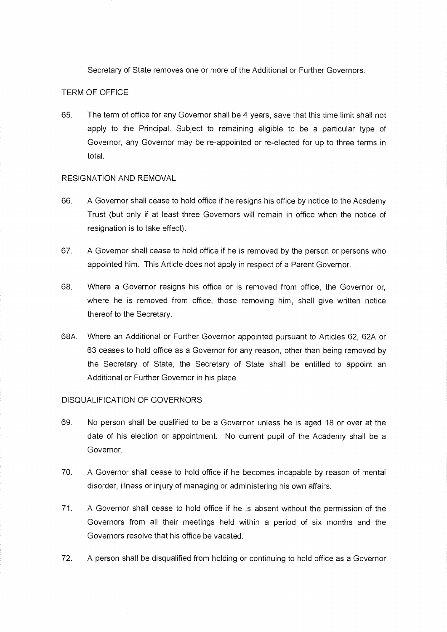Secretary of State removes one or more of the Additional or Further Governors.

# TERM OF OFFICE

65. The term of office for any Govemor shall be 4 years, save that this time limit shall not apply to the Principal. Subject to remaining eligible to be a particular type of Govemor, any Govemor may be re-appointed or re-elected for up to three terms in total.

# RESIGNATION AND REMOVAL

- 66. A Governor shall cease to hold office if he resigns his office by notice to the Academy Trust (but only if at least three Governors will remain in office when the notice of resignation is to take effect).
- 67. A Govemor shall cease to hold office if he is removed by the person or persons who appointed him. This Article does not apply in respect of a Parent Governor.
- 68. Where a Governor resigns his office or is removed from office, the Governor or, where he is removed from office, those removing him, shall give written notice thereof to the Secretary.
- 68A. Where an Additional or Further Governor appointed pursuant to Articles 62, 62A or 63 ceases to hold office as a Govemor for any reason, other than being removed by the Secretary of State, the Secretary of State shall be entitled to appoint an Additional or Further Governor in his place.

# DISQUALIFICATION OF GOVERNORS

- 69. No person shall be qualified to be a Governor unless he is aged 18 or over at the date of his election or appointment. No current pupil of the Academy shall be a Govemor.
- 70. A Governor shall cease to hold office if he becomes incapable by reason of mental disorder, illness or injury of managing or administering his own affairs.
- 71. A Governor shall cease to hold office if he is absent without the permission of the Govemors from all their meetings held within a period of six months and the Governors resolve that his office be vacated.
- 72. A person shall be disqualified from holding or continuing to hold office as a Governor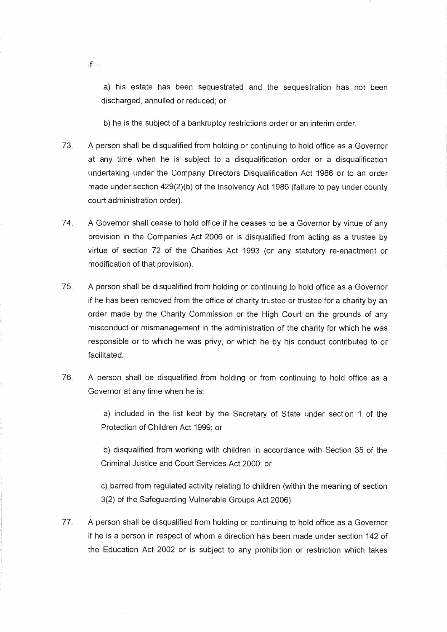a) his estate has been sequestrated and the sequestration has not been discharged, annulled or reduced; or

b) he is the subject of a bankruptcy restrictions order or an interim order.

- 73. A person shall be disqualified from holding or continuing to hold office as a Governor at any time when he is subject to a disqualification order or a disqualification undertaking under the Company Directors Disqualification Act 1986 or to an order made under section 429(2)(b) of the Insolvency Act 1986 (failure to pay under county court administration order).
- 74. A Governor shall cease to hold office if he ceases to be a Governor by virtue of any provision in the Companies Act 2006 or is disqualified from acting as a trustee by virtue of section 72 of the Charities Act 1993 (or any statutory re-enactment or modification of that provision).
- 75. A person shall be disqualified from holding or continuing to hold office as a Governor if he has been removed from the office of charity trustee or trustee for a charity by an order made by the Charity Commission or the High Court on the grounds of any misconduct or mismanagement in the administration of the charity for which he was responsible or to which he was privy, or which he by his conduct contributed to or facilitated.
- 76. A person shall be disqualified from holding or from continuing to hold office as a Govemor at any time when he is:

a) included in the list kept by the Secretary of State under section 1 of the Protection of Children Act 1999; or

b) disqualified from working with children in accordance with Section 35 of the Criminal Justice and Court Services Act 2000; or

c) barred from regulated activity relating to children (within the meaning of section 3(2) of the Safeguarding Vulnerable Groups Act 2006)

77. A person shall be disqualified from holding or continuing to hold office as a Governor if he is a person in respect of whom a direction has been made under section 142 of the Education Act 2002 or is subject to any prohibition or restriction which takes

if—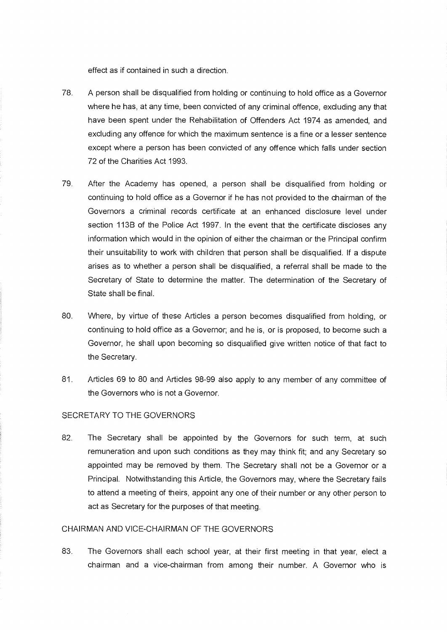effect as if contained in such a direction.

- 78. A person shall be disqualified from holding or continuing to hold office as a Governor where he has, at any time, been convicted of any criminal offence, excluding any that have been spent under the Rehabilitation of Offenders Act 1974 as amended, and excluding any offence for which the maximum sentence is a fine or a lesser sentence except where a person has been convicted of any offence which falls under section 72 of the Charities Act 1993.
- 79. After the Academy has opened, a person shall be disqualified from holding or continuing to hold office as a Govemor if he has not provided to the chairman of the Govemors a criminal records certificate at an enhanced disclosure level under section 113B of the Police Act 1997. In the event that the certificate discloses any information which would in the opinion of either the chairman or the Principal confirm their unsuitability to work with children that person shall be disqualified. If a dispute arises as to whether a person shall be disqualified, a referral shall be made to the Secretary of State to determine the matter. The determination of the Secretary of State shall be final.
- 80. Where, by virtue of these Articles a person becomes disqualified from holding, or continuing to hold office as a Governor; and he is, or is proposed, to become such a Governor, he shall upon becoming so disqualified give written notice of that fact to the Secretary.
- 81. Articles 69 to 80 and Articles 98-99 also apply to any member of any committee of the Governors who is not a Governor.

### SECRETARY TO THE GOVERNORS

82. The Secretary shall be appointed by the Governors for such term, at such remuneration and upon such conditions as they may think fit; and any Secretary so appointed may be removed by them. The Secretary shall not be a Governor or a Principal. Notwithstanding this Article, the Governors may, where the Secretary fails to attend a meeting of theirs, appoint any one of their number or any other person to act as Secretary for the purposes of that meeting.

#### CHAIRMAN AND VICE-CHAIRMAN OF THE GOVERNORS

83. The Governors shall each school year, at their first meeting in that year, elect a chairman and a vice-chairman from among their number. A Govemor who is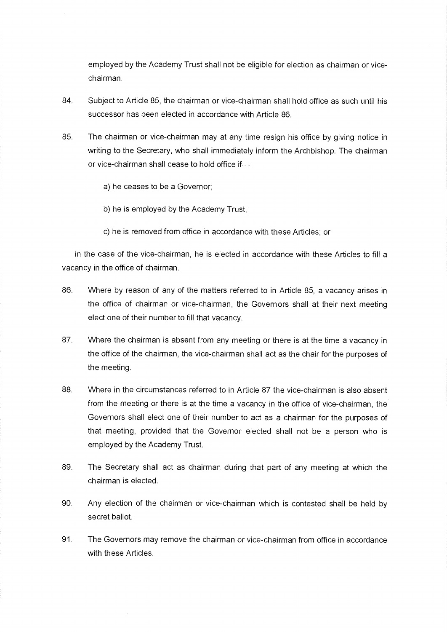employed by the Academy Trust shall not be eligible for election as chairman or vicechairman.

- 84. Subject to Article 85, the chairman or vice-chairman shall hold office as such until his successor has been elected in accordance with Article 86.
- 85. The chairman or vice-chairman may at any time resign his office by giving notice in writing to the Secretary, who shall immediately inform the Archbishop. The chairman or vice-chairman shall cease to hold office if
	- a) he ceases to be a Governor;
	- b) he is employed by the Academy Trust;
	- c) he is removed from office in accordance with these Articles; or

in the case of the vice-chairman, he is elected in accordance with these Articles to fill a vacancy in the office of chairman.

- 86. Where by reason of any of the matters referred to in Article 85, a vacancy arises in the office of chairman or vice-chairman, the Governors shall at their next meeting elect one of their number to fill that vacancy.
- 87. Where the chairman is absent from any meeting or there is at the time a vacancy in the office of the chairman, the vice-chairman shall act as the chair for the purposes of the meeting.
- 88. Where in the circumstances referred to in Article 87 the vice-chairman is also absent from the meeting or there is at the time a vacancy in the office of vice-chairman, the Govemors shall elect one of their number to act as a chairman for the purposes of that meeting, provided that the Governor elected shall not be a person who is employed by the Academy Trust.
- 89. The Secretary shall act as chairman during that part of any meeting at which the chairman is elected.
- 90. Any election of the chairman or vice-chairman which is contested shall be held by secret ballot.
- 91. The Governors may remove the chairman or vice-chairman from office in accordance with these Articles.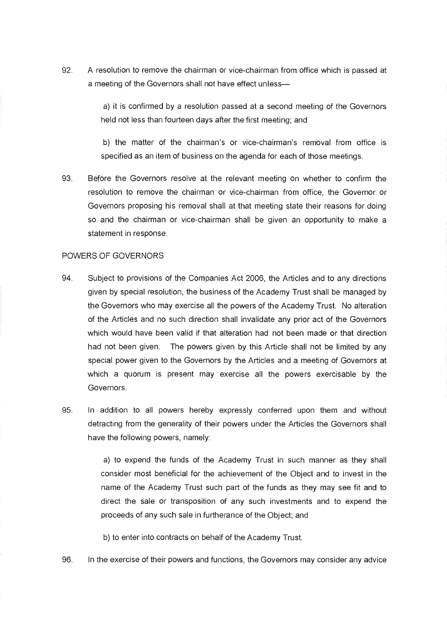92. A resolution to remove the chairman or vice-chairman from office which is passed at a meeting of the Governors shall not have effect unless—

> a) it is confirmed by a resolution passed at a second meeting of the Governors held not less than fourteen days after the first meeting; and

> b) the matter of the chairman's or vice-chairman's removal from office is specified as an item of business on the agenda for each of those meetings.

93. Before the Governors resolve at the relevant meeting on whether to confirm the resolution to remove the chairman or vice-chairman from office, the Governor or Govemors proposing his removal shall at that meeting state their reasons for doing so and the chairman or vice-chairman shall be given an opportunity to make a statement in response.

# POWERS OF GOVERNORS

- 94. Subject to provisions of the Companies Act 2006, the Articles and to any directions given by special resolution, the business of the Academy Trust shall be managed by the Governors who may exercise all the powers of the Academy Trust. No alteration of the Articles and no such direction shall invalidate any prior act of the Governors which would have been valid if that alteration had not been made or that direction had not been given. The powers given by this Article shall not be limited by any special power given to the Governors by the Articles and a meeting of Governors at which a quorum is present may exercise all the powers exercisable by the Govemors.
- 95. In addition to all powers hereby expressly conferred upon them and without detracting from the generality of their powers under the Articles the Governors shall have the following powers, namely:

a) to expend the funds of the Academy Trust in such manner as they shall consider most beneficial for the achievement of the Object and to invest in the name of the Academy Trust such part of the funds as they may see fit and to direct the sale or transposition of any such investments and to expend the proceeds of any such sale in furtherance of the Object; and

b) to enter into contracts on behalf of the Academy Trust.

96. In the exercise of their powers and functions, the Govemors may consider any advice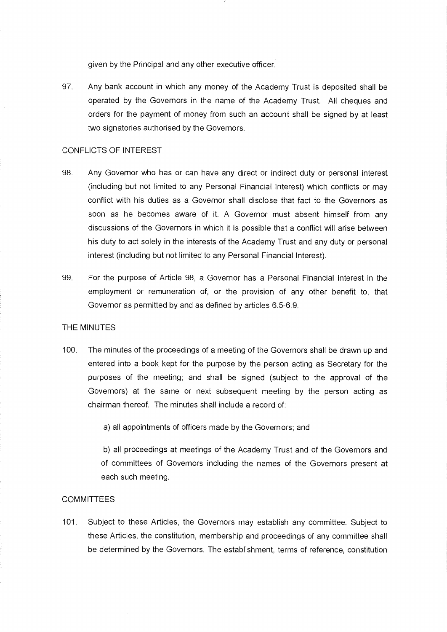given by the Principal and any other executive officer.

97. Any bank account in which any money of the Academy Trust is deposited shall be operated by the Governors in the name of the Academy Trust. All cheques and orders for the payment of money from such an account shall be signed by at least two signatories authorised by the Governors.

# CONFLICTS OF INTEREST

- 98. Any Governor who has or can have any direct or indirect duty or personal interest (including but not limited to any Personal Financial Interest) which conflicts or may conflict with his duties as a Governor shall disclose that fact to the Governors as soon as he becomes aware of it. A Governor must absent himself from any discussions of the Governors in which it is possible that a conflict will arise between his duty to act solely in the interests of the Academy Trust and any duty or personal interest (including but not limited to any Personal Financial Interest).
- 99. For the purpose of Article 98, a Governor has a Personal Financial Interest in the employment or remuneration of, or the provision of any other benefit to, that Governor as permitted by and as defined by articles 6.5-6.9.

### THE MINUTES

100. The minutes of the proceedings of a meeting of the Governors shall be drawn up and entered into a book kept for the purpose by the person acting as Secretary for the purposes of the meeting; and shall be signed (subject to the approval of the Governors) at the same or next subsequent meeting by the person acting as chairman thereof. The minutes shall include a record of:

a) all appointments of officers made by the Governors; and

b) all proceedings at meetings of the Academy Trust and of the Governors and of committees of Governors including the names of the Governors present at each such meeting.

# COMMITTEES

101. Subject to these Articles, the Governors may establish any committee. Subject to these Articles, the constitution, membership and proceedings of any committee shall be determined by the Governors. The establishment, terms of reference, constitution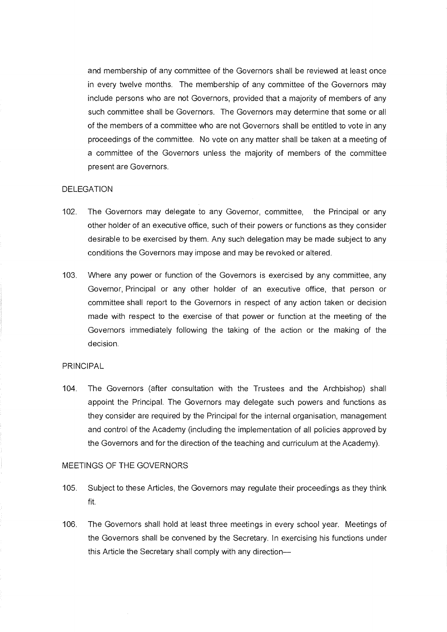and membership of any committee of the Governors shall be reviewed at least once in every twelve months. The membership of any committee of the Governors may include persons who are not Governors, provided that a majority of members of any such committee shall be Governors. The Governors may determine that some or all of the members of a committee who are not Governors shall be entitled to vote in any proceedings of the committee. No vote on any matter shall be taken at a meeting of a committee of the Governors unless the majority of members of the committee present are Governors.

#### DELEGATION

- 102. The Governors may delegate to any Governor, committee, the Principal or any other holder of an executive office, such of their powers or functions as they consider desirable to be exercised by them. Any such delegation may be made subject to any conditions the Governors may impose and may be revoked or altered.
- 103. Where any power or function of the Governors is exercised by any committee, any Govemor, Principal or any other holder of an executive office, that person or committee shall report to the Governors in respect of any action taken or decision made with respect to the exercise of that power or function at the meeting of the Governors immediately following the taking of the action or the making of the decision.

## PRINCIPAL

104. The Governors (after consultation with the Trustees and the Archbishop) shall appoint the Principal. The Governors may delegate such powers and functions as they consider are required by the Principal for the internal organisation, management and control of the Academy (including the implementation of all policies approved by the Governors and for the direction of the teaching and curriculum at the Academy).

#### MEETINGS OF THE GOVERNORS

- 105. Subject to these Articles, the Govemors may regulate their proceedings as they think fit.
- 106. The Governors shall hold at least three meetings in every school year. Meetings of the Govemors shall be convened by the Secretary. In exercising his functions under this Article the Secretary shall comply with any direction-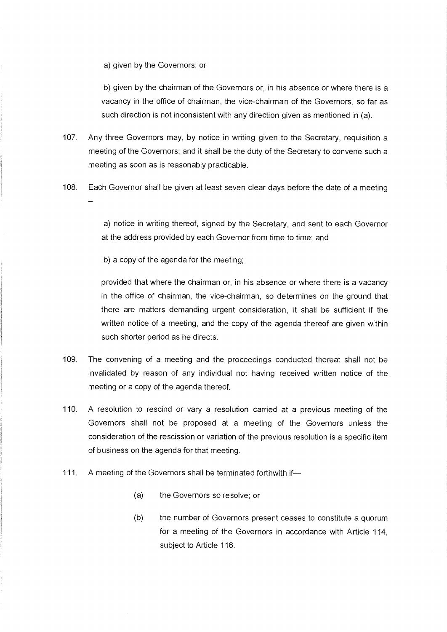a) given by the Govemors; or

b) given by the chairman of the Governors or, in his absence or where there is a vacancy in the office of chairman, the vice-chairman of the Governors, so far as such direction is not inconsistent with any direction given as mentioned in (a).

- 107. Any three Governors may, by notice in writing given to the Secretary, requisition a meeting of the Governors; and it shall be the duty of the Secretary to convene such a meeting as soon as is reasonably practicable.
- 108. Each Governor shall be given at least seven clear days before the date of a meeting

a) notice in writing thereof, signed by the Secretary, and sent to each Governor at the address provided by each Governor from time to time; and

b) a copy of the agenda for the meeting;

provided that where the chairman or, in his absence or where there is a vacancy in the office of chairman, the vice-chairman, so determines on the ground that there are matters demanding urgent consideration, it shall be sufficient if the written notice of a meeting, and the copy of the agenda thereof are given within such shorter period as he directs.

- 109. The convening of a meeting and the proceedings conducted thereat shall not be invalidated by reason of any individual not having received written notice of the meeting or a copy of the agenda thereof.
- 110. A resolution to rescind or vary a resolution carried at a previous meeting of the Govemors shall not be proposed at a meeting of the Governors unless the consideration of the rescission or variation of the previous resolution is a specific item of business on the agenda for that meeting.
- 111. A meeting of the Governors shall be terminated forthwith if—
	- (a) the Governors so resolve; or
	- (b) the number of Governors present ceases to constitute a quorum for a meeting of the Governors in accordance with Article 114, subject to Article 116.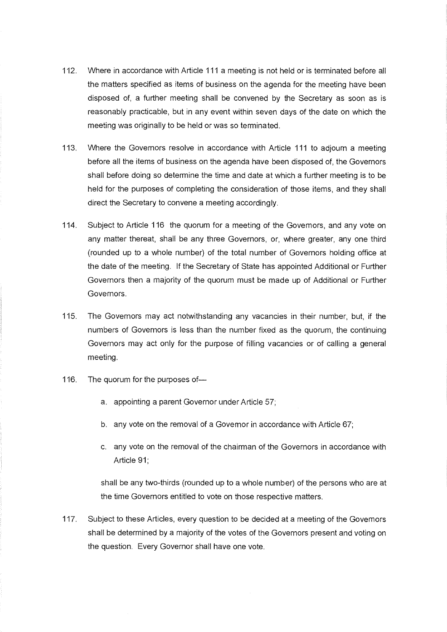- 112. Where in accordance with Article 111 a meeting is not held or is terminated before all the matters specified as items of business on the agenda for the meeting have been disposed of, a further meeting shall be convened by the Secretary as soon as is reasonably practicable, but in any event within seven days of the date on which the meeting was originally to be held or was so terminated.
- 113. Where the Governors resolve in accordance with Article 111 to adjourn a meeting before all the items of business on the agenda have been disposed of, the Govemors shall before doing so determine the time and date at which a further meeting is to be held for the purposes of completing the consideration of those items, and they shall direct the Secretary to convene a meeting accordingly.
- 114. Subject to Article 116 the quorum for a meeting of the Govemors, and any vote on any matter thereat, shall be any three Governors, or, where greater, any one third (rounded up to a whole number) of the total number of Governors holding office at the date of the meeting. If the Secretary of State has appointed Additional or Further Governors then a majority of the quorum must be made up of Additional or Further Governors.
- 115. The Governors may act notvvithstanding any vacancies in their number, but, if the numbers of Governors is less than the number fixed as the quorum, the continuing Govemors may act only for the purpose of filling vacancies or of calling a general meeting.
- 116. The quorum for the purposes of
	- a. appointing a parent Govemor under Article 57;
	- b. any vote on the removal of a Governor in accordance with Article 67;
	- c. any vote on the removal of the chairman of the Governors in accordance with Article 91;

shall be any two-thirds (rounded up to a whole number) of the persons who are at the time Governors entitled to vote on those respective matters.

117. Subject to these Articles, every question to be decided at a meeting of the Govemors shall be determined by a majority of the votes of the Governors present and voting on the question. Every Governor shall have one vote.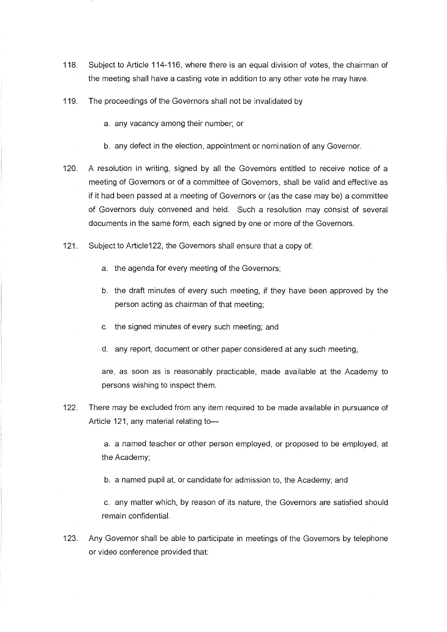- 118. Subject to Article 114-116, where there is an equal division of votes, the chairman of the meeting shall have a casting vote in addition to any other vote he may have.
- 119. The proceedings of the Governors shall not be invalidated by
	- a. any vacancy among their number; or
	- b. any defect in the election, appointment or nomination of any Governor.
- 120. A resolution in writing, signed by all the Governors entitled to receive notice of a meeting of Governors or of a committee of Govemors, shall be valid and effective as if it had been passed at a meeting of Governors or (as the case may be) a committee of Governors duly convened and held. Such a resolution may consist of several documents in the same form, each signed by one or more of the Govemors.
- 121. Subject to Article122, the Governors shall ensure that a copy of:
	- a. the agenda for every meeting of the Governors;
	- b. the draft minutes of every such meeting, if they have been approved by the person acting as chairman of that meeting;
	- c. the signed minutes of every such meeting; and
	- d. any report, document or other paper considered at any such meeting,

are, as soon as is reasonably practicable, made available at the Academy to persons wishing to inspect them.

122. There may be excluded from any item required to be made available in pursuance of Article 121, any material relating to-

> a. a named teacher or other person employed, or proposed to be employed, at the Academy;

b. a named pupil at, or candidate for admission to, the Academy; and

c. any matter which, by reason of its nature, the Governors are satisfied should remain confidential.

123. Any Governor shall be able to participate in meetings of the Govemors by telephone or video conference provided that: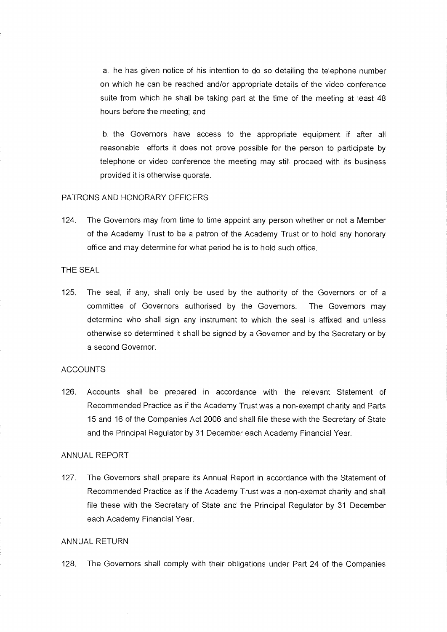a. he has given notice of his intention to do so detailing the telephone number on which he can be reached and/or appropriate details of the video conference suite from which he shall be taking part at the time of the meeting at least 48 hours before the meeting; and

b. the Governors have access to the appropriate equipment if after all reasonable efforts it does not prove possible for the person to participate by telephone or video conference the meeting may still proceed with its business provided it is otherwise quorate.

# PATRONS AND HONORARY OFFICERS

124. The Governors may from time to time appoint any person whether or not a Member of the Academy Trust to be a patron of the Academy Trust or to hold any honorary office and may determine for what period he is to hold such office.

THE SEAL

125. The seal, if any, shall only be used by the authority of the Governors or of a committee of Governors authorised by the Governors. The Governors may determine who shall sign any instrument to which the seal is affixed and unless otherwise so determined it shall be signed by a Governor and by the Secretary or by a second Governor.

## ACCOUNTS

126. Accounts shall be prepared in accordance with the relevant Statement of Recommended Practice as if the Academy Trust was a non-exempt charity and Parts 15 and 16 of the Companies Act 2006 and shall file these with the Secretary of State and the Principal Regulator by 31 December each Academy Financial Year.

### ANNUAL REPORT

127. The Governors shall prepare its Annual Report in accordance with the Statement of Recommended Practice as if the Academy Trust was a non-exempt charity and shall file these with the Secretary of State and the Principal Regulator by 31 December each Academy Financial Year.

# ANNUAL RETURN

128. The Governors shall comply with their obligations under Part 24 of the Companies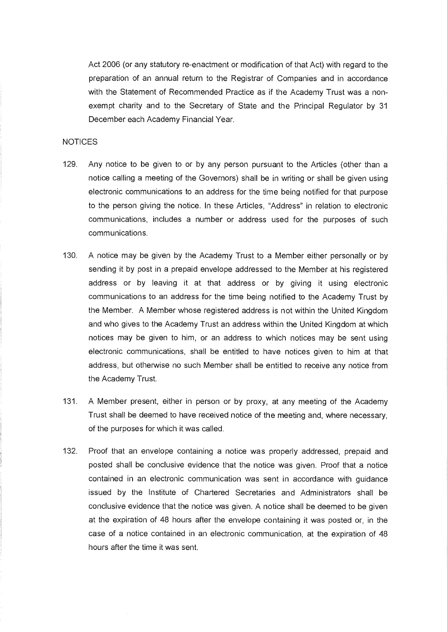Act 2006 (or any statutory re-enactment or modification of that Act) with regard to the preparation of an annual return to the Registrar of Companies and in accordance with the Statement of Recommended Practice as if the Academy Trust was a nonexempt charity and to the Secretary of State and the Principal Regulator by 31 December each Academy Financial Year.

### **NOTICES**

- 129. Any notice to be given to or by any person pursuant to the Articles (other than a notice calling a meeting of the Governors) shall be in writing or shall be given using electronic communications to an address for the time being notified for that purpose to the person giving the notice. In these Articles, "Address" in relation to electronic communications, includes a number or address used for the purposes of such communications.
- 130. A notice may be given by the Academy Trust to a Member either personally or by sending it by post in a prepaid envelope addressed to the Member at his registered address or by leaving it at that address or by giving it using electronic communications to an address for the time being notified to the Academy Trust by the Member. A Member whose registered address is not within the United Kingdom and who gives to the Academy Trust an address within the United Kingdom at which notices may be given to him, or an address to which notices may be sent using electronic communications, shall be entitled to have notices given to him at that address, but otherwise no such Member shall be entitled to receive any notice from the Academy Trust.
- 131. A Member present, either in person or by proxy, at any meeting of the Academy Trust shall be deemed to have received notice of the meeting and, where necessary, of the purposes for which it was called.
- 132. Proof that an envelope containing a notice was properly addressed, prepaid and posted shall be conclusive evidence that the notice was given. Proof that a notice contained in an electronic communication was sent in accordance with guidance issued by the Institute of Chartered Secretaries and Administrators shall be conclusive evidence that the notice was given. A notice shall be deemed to be given at the expiration of 48 hours after the envelope containing it was posted or, in the case of a notice contained in an electronic communication, at the expiration of 48 hours after the time it was sent.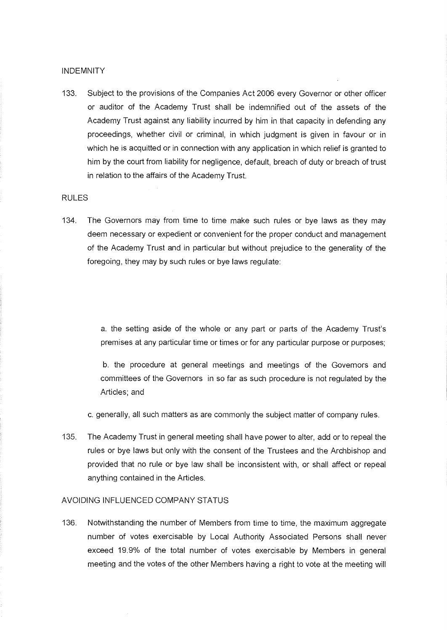### INDEMNITY

133. Subject to the provisions of the Companies Act 2006 every Governor or other officer or auditor of the Academy Trust shall be indemnified out of the assets of the Academy Trust against any liability incurred by him in that capacity in defending any proceedings, whether civil or criminal, in which judgment is given in favour or in which he is acquitted or in connection with any application in which relief is granted to him by the court from liability for negligence, default, breach of duty or breach of trust in relation to the affairs of the Academy Trust.

#### RULES

134. The Governors may from time to time make such rules or bye laws as they may deem necessary or expedient or convenient for the proper conduct and management of the Academy Trust and in particular but without prejudice to the generality of the foregoing, they may by such rules or bye laws regulate:

> a. the setting aside of the whole or any part or parts of the Academy Trust's premises at any particular time or times or for any particular purpose or purposes;

> b. the procedure at general meetings and meetings of the Govemors and committees of the Governors in so far as such procedure is not regulated by the Articles; and

c. generally, all such matters as are commonly the subject matter of company rules.

135. The Academy Trust in general meeting shall have power to alter, add or to repeal the rules or bye laws but only with the consent of the Trustees and the Archbishop and provided that no rule or bye law shall be inconsistent with, or shall affect or repeal anything contained in the Articles.

# AVOIDING INFLUENCED COMPANY STATUS

136. Notwithstanding the number of Members from time to time, the maximum aggregate number of votes exercisable by Local Authority Associated Persons shall never exceed 19.9% of the total number of votes exercisable by Members in general meeting and the votes of the other Members having a right to vote at the meeting will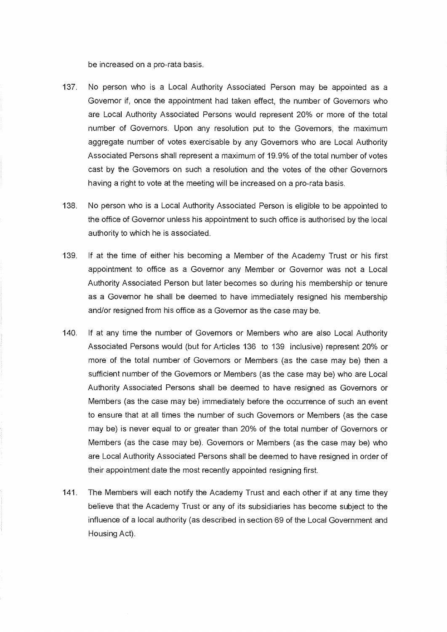be increased on a pro-rata basis.

- 137. No person who is a Local Authority Associated Person may be appointed as a Governor if, once the appointment had taken effect, the number of Governors who are Local Authority Associated Persons would represent 20% or more of the total number of Governors. Upon any resolution put to the Governors, the maximum aggregate number of votes exercisable by any Governors who are Local Authority Associated Persons shall represent a maximum of 19.9% of the total number of votes cast by the Governors on such a resolution and the votes of the other Governors having a right to vote at the meeting will be increased on a pro-rata basis.
- 138. No person who is a Local Authority Associated Person is eligible to be appointed to the office of Governor unless his appointment to such office is authorised by the local authority to which he is associated.
- 139. If at the time of either his becoming a Member of the Academy Trust or his first appointment to office as a Governor any Member or Governor was not a Local Authority Associated Person but later becomes so during his membership or tenure as a Governor he shall be deemed to have immediately resigned his membership and/or resigned from his office as a Governor as the case may be.
- 140. If at any time the number of Governors or Members who are also Local Authority Associated Persons would (but for Articles 136 to 139 inclusive) represent 20% or more of the total number of Governors or Members (as the case may be) then a sufficient number of the Governors or Members (as the case may be) who are Local Authority Associated Persons shall be deemed to have resigned as Governors or Members (as the case may be) immediately before the occurrence of such an event to ensure that at all times the number of such Governors or Members (as the case may be) is never equal to or greater than 20% of the total number of Governors or Members (as the case may be). Governors or Members (as the case may be) who are Local Authority Associated Persons shall be deemed to have resigned in order of their appointment date the most recently appointed resigning first.
- 141. The Members will each notify the Academy Trust and each other if at any time they believe that the Academy Trust or any of its subsidiaries has become subject to the influence of a local authority (as described in section 69 of the Local Government and Housing Act).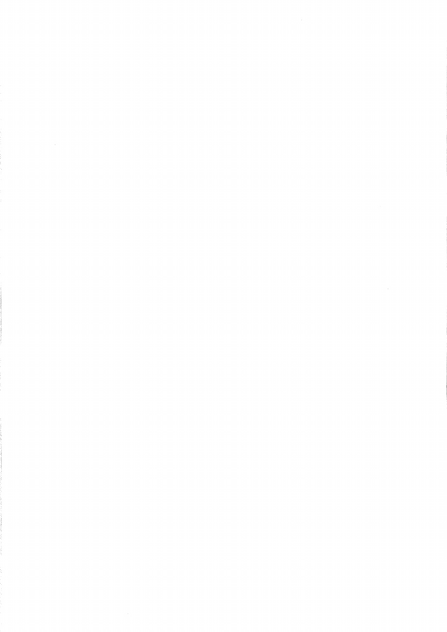b.<br>B